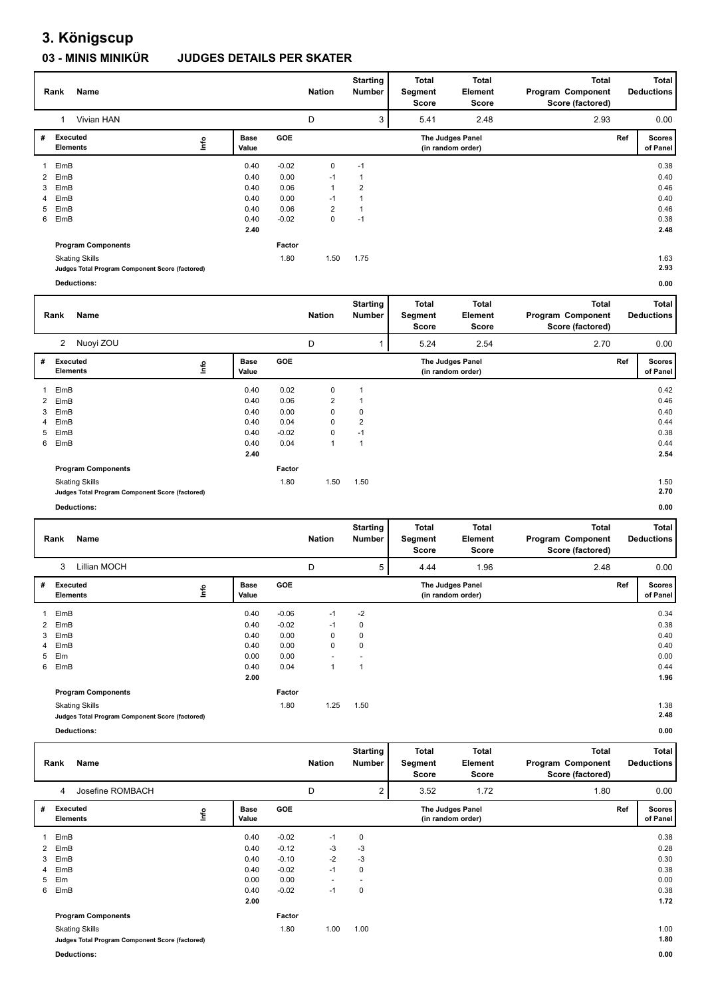## **3. Königscup**

## **03 - MINIS MINIKÜR JUDGES DETAILS PER SKATER**

|   |                                                 |                      |         |                | <b>Starting</b>           | Total                   | <b>Total</b>                          | <b>Total</b>                      |     | <b>Total</b>                      |
|---|-------------------------------------------------|----------------------|---------|----------------|---------------------------|-------------------------|---------------------------------------|-----------------------------------|-----|-----------------------------------|
|   | Name<br>Rank                                    |                      |         | <b>Nation</b>  | <b>Number</b>             | Segment                 | <b>Element</b>                        | Program Component                 |     | <b>Deductions</b>                 |
|   |                                                 |                      |         |                |                           | <b>Score</b>            | <b>Score</b>                          | Score (factored)                  |     |                                   |
|   | Vivian HAN<br>$\mathbf{1}$                      |                      |         | D              | 3                         | 5.41                    | 2.48                                  | 2.93                              |     | 0.00                              |
| # | Executed<br>lnfo<br><b>Elements</b>             | <b>Base</b><br>Value | GOE     |                |                           |                         | The Judges Panel<br>(in random order) |                                   | Ref | <b>Scores</b><br>of Panel         |
| 1 | ElmB                                            | 0.40                 | $-0.02$ | 0              | $-1$                      |                         |                                       |                                   |     | 0.38                              |
| 2 | ElmB                                            | 0.40                 | 0.00    | $-1$           | $\mathbf{1}$              |                         |                                       |                                   |     | 0.40                              |
| 3 | ElmB                                            | 0.40                 | 0.06    | $\mathbf{1}$   | $\overline{2}$            |                         |                                       |                                   |     | 0.46                              |
| 4 | ElmB                                            | 0.40                 | 0.00    | $-1$           | $\mathbf{1}$              |                         |                                       |                                   |     | 0.40                              |
| 5 | ElmB                                            | 0.40                 | 0.06    | $\overline{2}$ | $\mathbf{1}$              |                         |                                       |                                   |     | 0.46                              |
| 6 | ElmB                                            | 0.40                 | $-0.02$ | 0              | $-1$                      |                         |                                       |                                   |     | 0.38                              |
|   |                                                 | 2.40                 |         |                |                           |                         |                                       |                                   |     | 2.48                              |
|   | <b>Program Components</b>                       |                      | Factor  |                |                           |                         |                                       |                                   |     |                                   |
|   | <b>Skating Skills</b>                           |                      | 1.80    | 1.50           | 1.75                      |                         |                                       |                                   |     | 1.63                              |
|   | Judges Total Program Component Score (factored) |                      |         |                |                           |                         |                                       |                                   |     | 2.93                              |
|   | <b>Deductions:</b>                              |                      |         |                |                           |                         |                                       |                                   |     | 0.00                              |
|   |                                                 |                      |         |                | <b>Starting</b>           | <b>Total</b>            | <b>Total</b>                          | <b>Total</b>                      |     | <b>Total</b>                      |
|   | Name<br>Rank                                    |                      |         | <b>Nation</b>  | Number                    | Segment                 | <b>Element</b>                        | Program Component                 |     | <b>Deductions</b>                 |
|   |                                                 |                      |         |                |                           | <b>Score</b>            | <b>Score</b>                          | Score (factored)                  |     |                                   |
|   | 2 Nuoyi ZOU                                     |                      |         | D              | $\mathbf{1}$              | 5.24                    | 2.54                                  | 2.70                              |     | 0.00                              |
| # | Executed                                        | <b>Base</b>          | GOE     |                |                           |                         | The Judges Panel                      |                                   | Ref | <b>Scores</b>                     |
|   | lnfo<br><b>Elements</b>                         | Value                |         |                |                           |                         | (in random order)                     |                                   |     | of Panel                          |
| 1 | ElmB                                            | 0.40                 | 0.02    | 0              | 1                         |                         |                                       |                                   |     | 0.42                              |
| 2 | ElmB                                            | 0.40                 | 0.06    | $\overline{2}$ | 1                         |                         |                                       |                                   |     | 0.46                              |
| 3 | ElmB                                            | 0.40                 | 0.00    | 0              | 0                         |                         |                                       |                                   |     | 0.40                              |
| 4 | ElmB                                            | 0.40                 | 0.04    | 0              | $\overline{2}$            |                         |                                       |                                   |     | 0.44                              |
| 5 | ElmB                                            | 0.40                 | $-0.02$ | 0              | $-1$                      |                         |                                       |                                   |     | 0.38                              |
| 6 | ElmB                                            | 0.40                 | 0.04    | 1              | $\mathbf{1}$              |                         |                                       |                                   |     | 0.44                              |
|   |                                                 | 2.40                 |         |                |                           |                         |                                       |                                   |     | 2.54                              |
|   | <b>Program Components</b>                       |                      | Factor  |                |                           |                         |                                       |                                   |     |                                   |
|   |                                                 |                      |         |                |                           |                         |                                       |                                   |     |                                   |
|   |                                                 |                      |         |                |                           |                         |                                       |                                   |     |                                   |
|   | <b>Skating Skills</b>                           |                      | 1.80    | 1.50           | 1.50                      |                         |                                       |                                   |     | 1.50                              |
|   | Judges Total Program Component Score (factored) |                      |         |                |                           |                         |                                       |                                   |     | 2.70                              |
|   | <b>Deductions:</b>                              |                      |         |                |                           |                         |                                       |                                   |     | 0.00                              |
|   |                                                 |                      |         |                | <b>Starting</b>           | Total                   | <b>Total</b>                          | <b>Total</b>                      |     | <b>Total</b>                      |
|   | Rank<br>Name                                    |                      |         | <b>Nation</b>  | Number                    | Segment                 | <b>Element</b>                        | Program Component                 |     | <b>Deductions</b>                 |
|   |                                                 |                      |         |                |                           | <b>Score</b>            | <b>Score</b>                          | Score (factored)                  |     |                                   |
|   | 3<br>Lillian MOCH                               |                      |         | D              | 5                         | 4.44                    | 1.96                                  | 2.48                              |     | 0.00                              |
| # | <b>Executed</b>                                 | <b>Base</b>          | GOE     |                |                           |                         | The Judges Panel                      |                                   | Ref | <b>Scores</b>                     |
|   | ۴u<br><b>Elements</b>                           | Value                |         |                |                           |                         | (in random order)                     |                                   |     | of Panel                          |
| 1 | ElmB                                            | 0.40                 | $-0.06$ | $-1$           | $-2$                      |                         |                                       |                                   |     | 0.34                              |
| 2 | ElmB                                            | 0.40                 | $-0.02$ | $-1$           | 0                         |                         |                                       |                                   |     | 0.38                              |
| 3 | ElmB                                            | 0.40                 | 0.00    | 0              | 0                         |                         |                                       |                                   |     | 0.40                              |
| 4 | ElmB                                            | 0.40                 | 0.00    | 0              | 0                         |                         |                                       |                                   |     | 0.40                              |
| 5 | Elm                                             | 0.00                 | 0.00    |                |                           |                         |                                       |                                   |     | 0.00                              |
| 6 | ElmB                                            | 0.40                 | 0.04    | $\mathbf{1}$   | 1                         |                         |                                       |                                   |     | 0.44                              |
|   |                                                 | 2.00                 |         |                |                           |                         |                                       |                                   |     | 1.96                              |
|   | <b>Program Components</b>                       |                      | Factor  |                |                           |                         |                                       |                                   |     |                                   |
|   | <b>Skating Skills</b>                           |                      | 1.80    | 1.25           | 1.50                      |                         |                                       |                                   |     | 1.38                              |
|   | Judges Total Program Component Score (factored) |                      |         |                |                           |                         |                                       |                                   |     | 2.48                              |
|   | <b>Deductions:</b>                              |                      |         |                |                           |                         |                                       |                                   |     | 0.00                              |
|   |                                                 |                      |         |                |                           |                         |                                       |                                   |     |                                   |
|   | Name<br>Rank                                    |                      |         | <b>Nation</b>  | <b>Starting</b><br>Number | <b>Total</b><br>Segment | <b>Total</b><br>Element               | <b>Total</b><br>Program Component |     | <b>Total</b><br><b>Deductions</b> |
|   |                                                 |                      |         |                |                           | Score                   | Score                                 | Score (factored)                  |     |                                   |
|   | Josefine ROMBACH<br>4                           |                      |         | D              | $\overline{2}$            | 3.52                    | 1.72                                  | 1.80                              |     | 0.00                              |
| # | <b>Executed</b>                                 | <b>Base</b>          | GOE     |                |                           |                         | The Judges Panel                      |                                   | Ref | <b>Scores</b>                     |
|   | ١nfo<br><b>Elements</b>                         | Value                |         |                |                           |                         | (in random order)                     |                                   |     | of Panel                          |
| 1 | ElmB                                            | 0.40                 | $-0.02$ | $-1$           | 0                         |                         |                                       |                                   |     | 0.38                              |
| 2 | ElmB                                            | 0.40                 | $-0.12$ | $-3$           | $-3$                      |                         |                                       |                                   |     | 0.28                              |
| 3 | ElmB<br>ElmB                                    | 0.40<br>0.40         | $-0.10$ | $-2$<br>$-1$   | $-3$<br>0                 |                         |                                       |                                   |     | 0.30<br>0.38                      |

5 Elm 0.00 0.00 - - 0.00 6 ElmB 0.40 -0.02 -1 0 0.38  **2.00 Program Components**  Skating Skills 1.80 **Factor** 1.80 1.00

**Judges Total Program Component Score (factored) 1.80**

**Deductions: 0.00**

 **1.72**